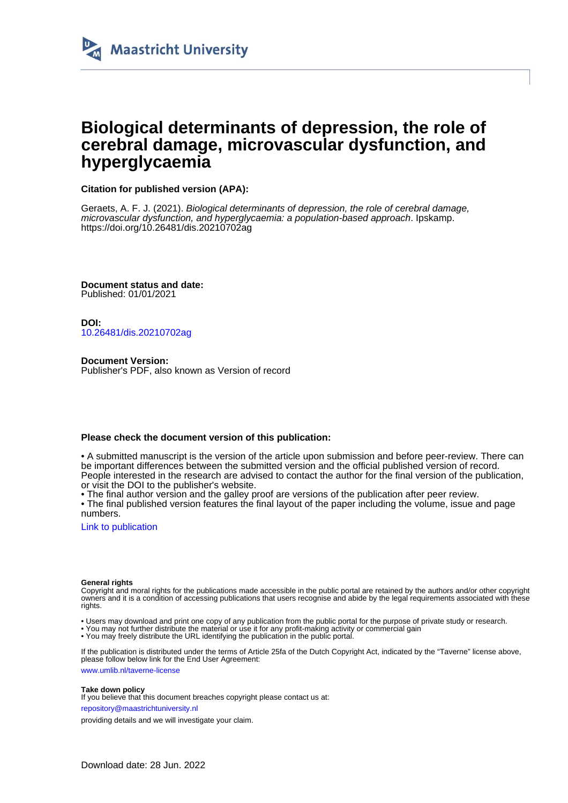

# **Biological determinants of depression, the role of cerebral damage, microvascular dysfunction, and hyperglycaemia**

**Citation for published version (APA):**

Geraets, A. F. J. (2021). Biological determinants of depression, the role of cerebral damage, microvascular dysfunction, and hyperglycaemia: a population-based approach. Ipskamp. <https://doi.org/10.26481/dis.20210702ag>

**Document status and date:** Published: 01/01/2021

**DOI:** [10.26481/dis.20210702ag](https://doi.org/10.26481/dis.20210702ag)

**Document Version:** Publisher's PDF, also known as Version of record

#### **Please check the document version of this publication:**

• A submitted manuscript is the version of the article upon submission and before peer-review. There can be important differences between the submitted version and the official published version of record. People interested in the research are advised to contact the author for the final version of the publication, or visit the DOI to the publisher's website.

• The final author version and the galley proof are versions of the publication after peer review.

• The final published version features the final layout of the paper including the volume, issue and page numbers.

[Link to publication](https://cris.maastrichtuniversity.nl/en/publications/fb1d1570-4255-4304-af9a-02bc23cfa845)

#### **General rights**

Copyright and moral rights for the publications made accessible in the public portal are retained by the authors and/or other copyright owners and it is a condition of accessing publications that users recognise and abide by the legal requirements associated with these rights.

- Users may download and print one copy of any publication from the public portal for the purpose of private study or research.
- You may not further distribute the material or use it for any profit-making activity or commercial gain
- You may freely distribute the URL identifying the publication in the public portal.

If the publication is distributed under the terms of Article 25fa of the Dutch Copyright Act, indicated by the "Taverne" license above, please follow below link for the End User Agreement:

www.umlib.nl/taverne-license

#### **Take down policy**

If you believe that this document breaches copyright please contact us at:

repository@maastrichtuniversity.nl

providing details and we will investigate your claim.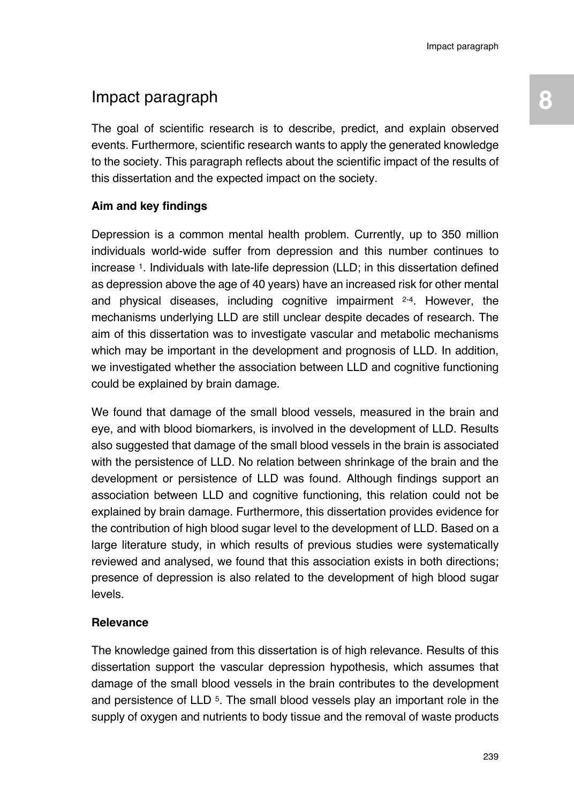## Impact paragraph **8**

The goal of scientific research is to describe, predict, and explain observed events. Furthermore, scientific research wants to apply the generated knowledge to the society. This paragraph reflects about the scientific impact of the results of this dissertation and the expected impact on the society.

## **Aim and key findings**

Depression is a common mental health problem. Currently, up to 350 million individuals world-wide suffer from depression and this number continues to increase 1. Individuals with late-life depression (LLD; in this dissertation defined as depression above the age of 40 years) have an increased risk for other mental and physical diseases, including cognitive impairment  $2-4$ . However, the mechanisms underlying LLD are still unclear despite decades of research. The aim of this dissertation was to investigate vascular and metabolic mechanisms which may be important in the development and prognosis of LLD. In addition, we investigated whether the association between LLD and cognitive functioning could be explained by brain damage.

We found that damage of the small blood vessels, measured in the brain and eye, and with blood biomarkers, is involved in the development of LLD. Results also suggested that damage of the small blood vessels in the brain is associated with the persistence of LLD. No relation between shrinkage of the brain and the development or persistence of LLD was found. Although findings support an association between LLD and cognitive functioning, this relation could not be explained by brain damage. Furthermore, this dissertation provides evidence for the contribution of high blood sugar level to the development of LLD. Based on a large literature study, in which results of previous studies were systematically reviewed and analysed, we found that this association exists in both directions; presence of depression is also related to the development of high blood sugar levels.

## **Relevance**

The knowledge gained from this dissertation is of high relevance. Results of this dissertation support the vascular depression hypothesis, which assumes that damage of the small blood vessels in the brain contributes to the development and persistence of LLD 5. The small blood vessels play an important role in the supply of oxygen and nutrients to body tissue and the removal of waste products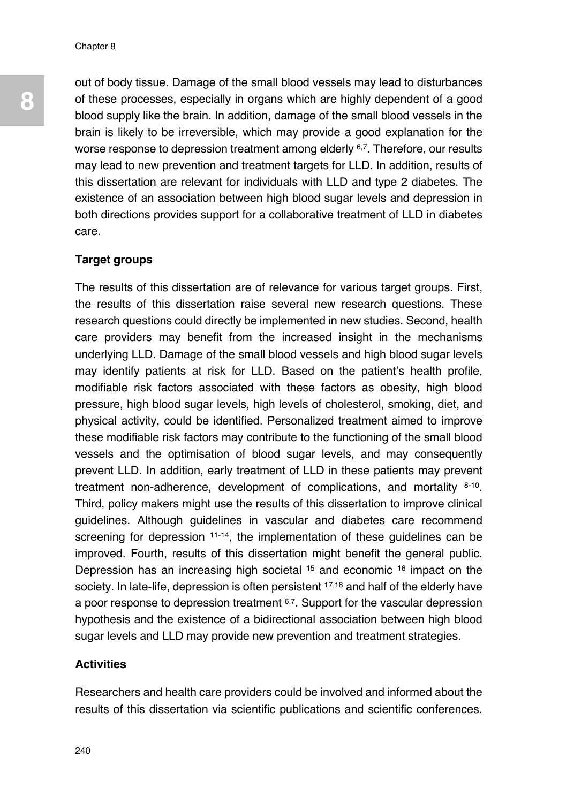out of body tissue. Damage of the small blood vessels may lead to disturbances of these processes, especially in organs which are highly dependent of a good blood supply like the brain. In addition, damage of the small blood vessels in the brain is likely to be irreversible, which may provide a good explanation for the worse response to depression treatment among elderly 6,7. Therefore, our results may lead to new prevention and treatment targets for LLD. In addition, results of this dissertation are relevant for individuals with LLD and type 2 diabetes. The existence of an association between high blood sugar levels and depression in both directions provides support for a collaborative treatment of LLD in diabetes care.

#### **Target groups**

The results of this dissertation are of relevance for various target groups. First, the results of this dissertation raise several new research questions. These research questions could directly be implemented in new studies. Second, health care providers may benefit from the increased insight in the mechanisms underlying LLD. Damage of the small blood vessels and high blood sugar levels may identify patients at risk for LLD. Based on the patient's health profile, modifiable risk factors associated with these factors as obesity, high blood pressure, high blood sugar levels, high levels of cholesterol, smoking, diet, and physical activity, could be identified. Personalized treatment aimed to improve these modifiable risk factors may contribute to the functioning of the small blood vessels and the optimisation of blood sugar levels, and may consequently prevent LLD. In addition, early treatment of LLD in these patients may prevent treatment non-adherence, development of complications, and mortality 8-10. Third, policy makers might use the results of this dissertation to improve clinical guidelines. Although guidelines in vascular and diabetes care recommend screening for depression 11-14, the implementation of these guidelines can be improved. Fourth, results of this dissertation might benefit the general public. Depression has an increasing high societal 15 and economic 16 impact on the society. In late-life, depression is often persistent 17,18 and half of the elderly have a poor response to depression treatment 6,7. Support for the vascular depression hypothesis and the existence of a bidirectional association between high blood sugar levels and LLD may provide new prevention and treatment strategies.

### **Activities**

Researchers and health care providers could be involved and informed about the results of this dissertation via scientific publications and scientific conferences.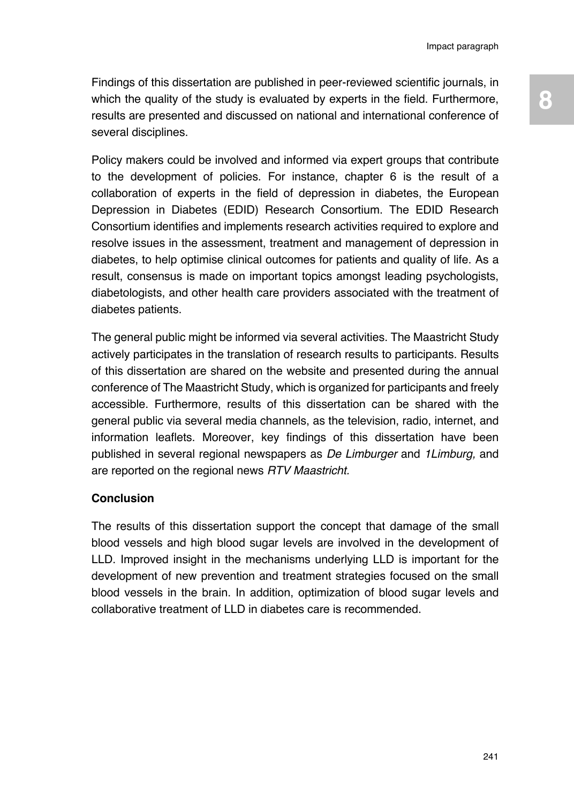Findings of this dissertation are published in peer-reviewed scientific journals, in which the quality of the study is evaluated by experts in the field. Furthermore, results are presented and discussed on national and international conference of several disciplines.

Policy makers could be involved and informed via expert groups that contribute to the development of policies. For instance, chapter 6 is the result of a collaboration of experts in the field of depression in diabetes, the European Depression in Diabetes (EDID) Research Consortium. The EDID Research Consortium identifies and implements research activities required to explore and resolve issues in the assessment, treatment and management of depression in diabetes, to help optimise clinical outcomes for patients and quality of life. As a result, consensus is made on important topics amongst leading psychologists, diabetologists, and other health care providers associated with the treatment of diabetes patients.

The general public might be informed via several activities. The Maastricht Study actively participates in the translation of research results to participants. Results of this dissertation are shared on the website and presented during the annual conference of The Maastricht Study, which is organized for participants and freely accessible. Furthermore, results of this dissertation can be shared with the general public via several media channels, as the television, radio, internet, and information leaflets. Moreover, key findings of this dissertation have been published in several regional newspapers as *De Limburger* and *1Limburg,* and are reported on the regional news *RTV Maastricht.*

## **Conclusion**

The results of this dissertation support the concept that damage of the small blood vessels and high blood sugar levels are involved in the development of LLD. Improved insight in the mechanisms underlying LLD is important for the development of new prevention and treatment strategies focused on the small blood vessels in the brain. In addition, optimization of blood sugar levels and collaborative treatment of LLD in diabetes care is recommended.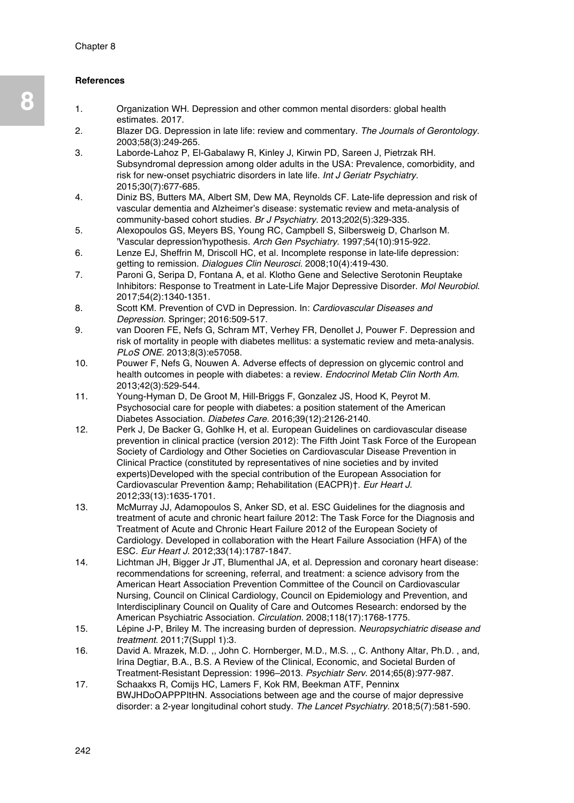#### **References**

- 1. Organization WH. Depression and other common mental disorders: global health estimates. 2017.
- 2. Blazer DG. Depression in late life: review and commentary. *The Journals of Gerontology.*  2003;58(3):249-265.
- 3. Laborde‐Lahoz P, El‐Gabalawy R, Kinley J, Kirwin PD, Sareen J, Pietrzak RH. Subsyndromal depression among older adults in the USA: Prevalence, comorbidity, and risk for new‐onset psychiatric disorders in late life. *Int J Geriatr Psychiatry.*  2015;30(7):677-685.
- 4. Diniz BS, Butters MA, Albert SM, Dew MA, Reynolds CF. Late-life depression and risk of vascular dementia and Alzheimer's disease: systematic review and meta-analysis of community-based cohort studies. *Br J Psychiatry.* 2013;202(5):329-335.
- 5. Alexopoulos GS, Meyers BS, Young RC, Campbell S, Silbersweig D, Charlson M. 'Vascular depression'hypothesis. *Arch Gen Psychiatry.* 1997;54(10):915-922.
- 6. Lenze EJ, Sheffrin M, Driscoll HC, et al. Incomplete response in late-life depression: getting to remission. *Dialogues Clin Neurosci.* 2008;10(4):419-430.
- 7. Paroni G, Seripa D, Fontana A, et al. Klotho Gene and Selective Serotonin Reuptake Inhibitors: Response to Treatment in Late-Life Major Depressive Disorder. *Mol Neurobiol.*  2017;54(2):1340-1351.
- 8. Scott KM. Prevention of CVD in Depression. In: *Cardiovascular Diseases and Depression.* Springer; 2016:509-517.
- 9. van Dooren FE, Nefs G, Schram MT, Verhey FR, Denollet J, Pouwer F. Depression and risk of mortality in people with diabetes mellitus: a systematic review and meta-analysis. *PLoS ONE.* 2013;8(3):e57058.
- 10. Pouwer F, Nefs G, Nouwen A. Adverse effects of depression on glycemic control and health outcomes in people with diabetes: a review. *Endocrinol Metab Clin North Am.* 2013;42(3):529-544.
- 11. Young-Hyman D, De Groot M, Hill-Briggs F, Gonzalez JS, Hood K, Peyrot M. Psychosocial care for people with diabetes: a position statement of the American Diabetes Association. *Diabetes Care.* 2016;39(12):2126-2140.
- 12. Perk J, De Backer G, Gohlke H, et al. European Guidelines on cardiovascular disease prevention in clinical practice (version 2012): The Fifth Joint Task Force of the European Society of Cardiology and Other Societies on Cardiovascular Disease Prevention in Clinical Practice (constituted by representatives of nine societies and by invited experts)Developed with the special contribution of the European Association for Cardiovascular Prevention & amp: Rehabilitation (EACPR)<sup>+</sup>. *Eur Heart J.* 2012;33(13):1635-1701.
- 13. McMurray JJ, Adamopoulos S, Anker SD, et al. ESC Guidelines for the diagnosis and treatment of acute and chronic heart failure 2012: The Task Force for the Diagnosis and Treatment of Acute and Chronic Heart Failure 2012 of the European Society of Cardiology. Developed in collaboration with the Heart Failure Association (HFA) of the ESC. *Eur Heart J.* 2012;33(14):1787-1847.
- 14. Lichtman JH, Bigger Jr JT, Blumenthal JA, et al. Depression and coronary heart disease: recommendations for screening, referral, and treatment: a science advisory from the American Heart Association Prevention Committee of the Council on Cardiovascular Nursing, Council on Clinical Cardiology, Council on Epidemiology and Prevention, and Interdisciplinary Council on Quality of Care and Outcomes Research: endorsed by the American Psychiatric Association. *Circulation.* 2008;118(17):1768-1775.
- 15. Lépine J-P, Briley M. The increasing burden of depression. *Neuropsychiatric disease and treatment.* 2011;7(Suppl 1):3.
- 16. David A. Mrazek, M.D. ,, John C. Hornberger, M.D., M.S. ,, C. Anthony Altar, Ph.D. , and, Irina Degtiar, B.A., B.S. A Review of the Clinical, Economic, and Societal Burden of Treatment-Resistant Depression: 1996–2013. *Psychiatr Serv.* 2014;65(8):977-987.
- 17. Schaakxs R, Comijs HC, Lamers F, Kok RM, Beekman ATF, Penninx BWJHDoOAPPPItHN. Associations between age and the course of major depressive disorder: a 2-year longitudinal cohort study. *The Lancet Psychiatry.* 2018;5(7):581-590.